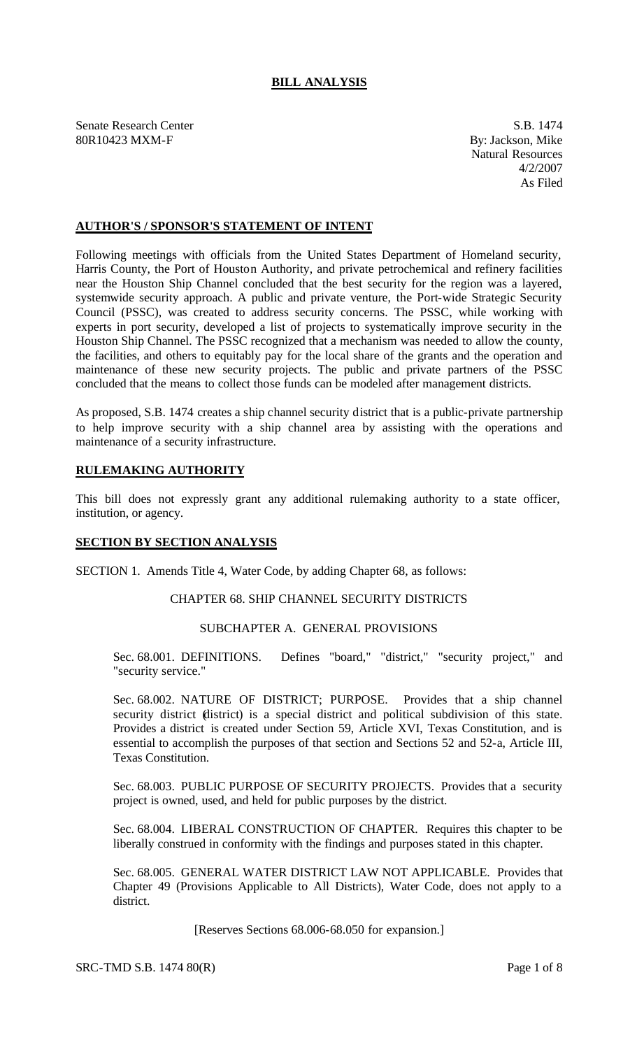# **BILL ANALYSIS**

Senate Research Center S.B. 1474 80R10423 MXM-F By: Jackson, Mike

Natural Resources 4/2/2007 As Filed

# **AUTHOR'S / SPONSOR'S STATEMENT OF INTENT**

Following meetings with officials from the United States Department of Homeland security, Harris County, the Port of Houston Authority, and private petrochemical and refinery facilities near the Houston Ship Channel concluded that the best security for the region was a layered, systemwide security approach. A public and private venture, the Port-wide Strategic Security Council (PSSC), was created to address security concerns. The PSSC, while working with experts in port security, developed a list of projects to systematically improve security in the Houston Ship Channel. The PSSC recognized that a mechanism was needed to allow the county, the facilities, and others to equitably pay for the local share of the grants and the operation and maintenance of these new security projects. The public and private partners of the PSSC concluded that the means to collect those funds can be modeled after management districts.

As proposed, S.B. 1474 creates a ship channel security district that is a public-private partnership to help improve security with a ship channel area by assisting with the operations and maintenance of a security infrastructure.

# **RULEMAKING AUTHORITY**

This bill does not expressly grant any additional rulemaking authority to a state officer, institution, or agency.

#### **SECTION BY SECTION ANALYSIS**

SECTION 1. Amends Title 4, Water Code, by adding Chapter 68, as follows:

# CHAPTER 68. SHIP CHANNEL SECURITY DISTRICTS

## SUBCHAPTER A. GENERAL PROVISIONS

Sec. 68.001. DEFINITIONS. Defines "board," "district," "security project," and "security service."

Sec. 68.002. NATURE OF DISTRICT; PURPOSE. Provides that a ship channel security district (district) is a special district and political subdivision of this state. Provides a district is created under Section 59, Article XVI, Texas Constitution, and is essential to accomplish the purposes of that section and Sections 52 and 52-a, Article III, Texas Constitution.

Sec. 68.003. PUBLIC PURPOSE OF SECURITY PROJECTS. Provides that a security project is owned, used, and held for public purposes by the district.

Sec. 68.004. LIBERAL CONSTRUCTION OF CHAPTER. Requires this chapter to be liberally construed in conformity with the findings and purposes stated in this chapter.

Sec. 68.005. GENERAL WATER DISTRICT LAW NOT APPLICABLE. Provides that Chapter 49 (Provisions Applicable to All Districts), Water Code, does not apply to a district.

[Reserves Sections 68.006-68.050 for expansion.]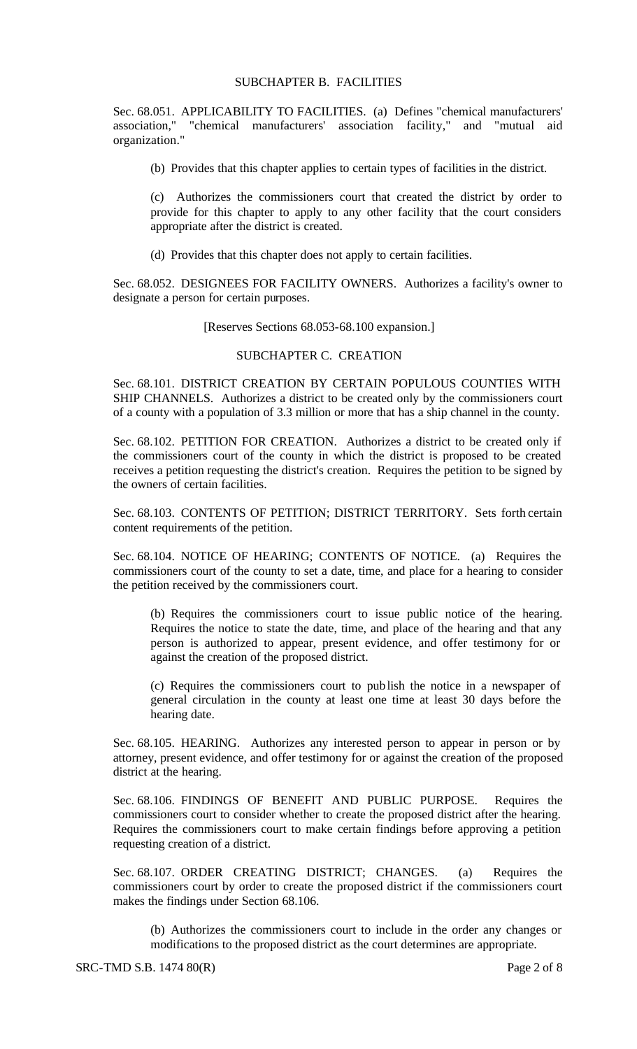## SUBCHAPTER B. FACILITIES

Sec. 68.051. APPLICABILITY TO FACILITIES. (a) Defines "chemical manufacturers' association," "chemical manufacturers' association facility," and "mutual aid organization."

(b) Provides that this chapter applies to certain types of facilities in the district.

(c) Authorizes the commissioners court that created the district by order to provide for this chapter to apply to any other facility that the court considers appropriate after the district is created.

(d) Provides that this chapter does not apply to certain facilities.

Sec. 68.052. DESIGNEES FOR FACILITY OWNERS. Authorizes a facility's owner to designate a person for certain purposes.

[Reserves Sections 68.053-68.100 expansion.]

#### SUBCHAPTER C. CREATION

Sec. 68.101. DISTRICT CREATION BY CERTAIN POPULOUS COUNTIES WITH SHIP CHANNELS. Authorizes a district to be created only by the commissioners court of a county with a population of 3.3 million or more that has a ship channel in the county.

Sec. 68.102. PETITION FOR CREATION. Authorizes a district to be created only if the commissioners court of the county in which the district is proposed to be created receives a petition requesting the district's creation. Requires the petition to be signed by the owners of certain facilities.

Sec. 68.103. CONTENTS OF PETITION; DISTRICT TERRITORY. Sets forth certain content requirements of the petition.

Sec. 68.104. NOTICE OF HEARING; CONTENTS OF NOTICE. (a) Requires the commissioners court of the county to set a date, time, and place for a hearing to consider the petition received by the commissioners court.

(b) Requires the commissioners court to issue public notice of the hearing. Requires the notice to state the date, time, and place of the hearing and that any person is authorized to appear, present evidence, and offer testimony for or against the creation of the proposed district.

(c) Requires the commissioners court to publish the notice in a newspaper of general circulation in the county at least one time at least 30 days before the hearing date.

Sec. 68.105. HEARING. Authorizes any interested person to appear in person or by attorney, present evidence, and offer testimony for or against the creation of the proposed district at the hearing.

Sec. 68.106. FINDINGS OF BENEFIT AND PUBLIC PURPOSE. Requires the commissioners court to consider whether to create the proposed district after the hearing. Requires the commissioners court to make certain findings before approving a petition requesting creation of a district.

Sec. 68.107. ORDER CREATING DISTRICT; CHANGES. (a) Requires the commissioners court by order to create the proposed district if the commissioners court makes the findings under Section 68.106.

(b) Authorizes the commissioners court to include in the order any changes or modifications to the proposed district as the court determines are appropriate.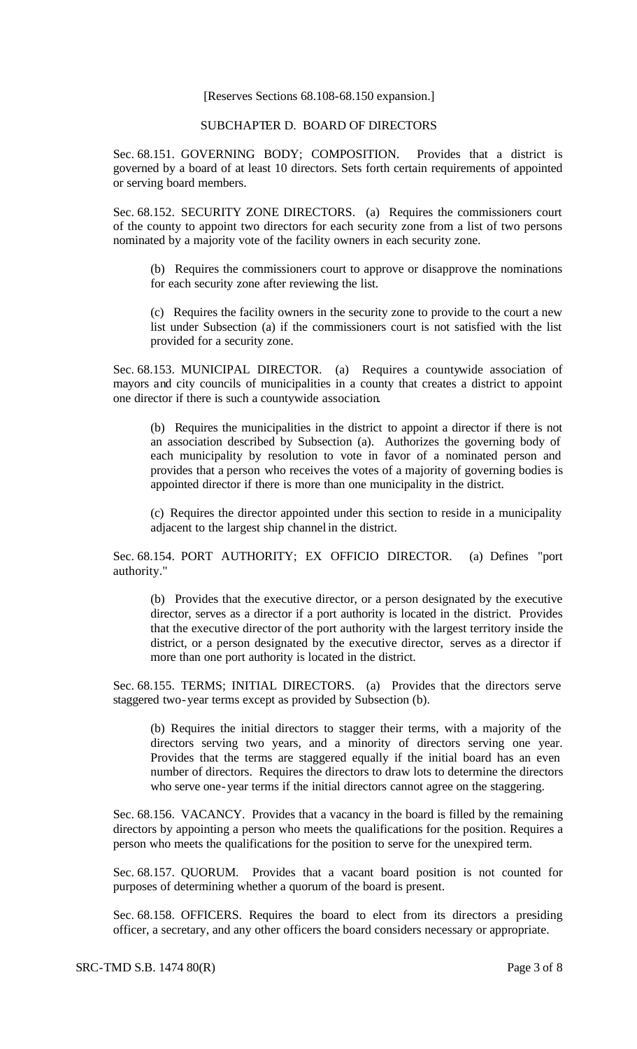#### [Reserves Sections 68.108-68.150 expansion.]

# SUBCHAPTER D. BOARD OF DIRECTORS

Sec. 68.151. GOVERNING BODY; COMPOSITION. Provides that a district is governed by a board of at least 10 directors. Sets forth certain requirements of appointed or serving board members.

Sec. 68.152. SECURITY ZONE DIRECTORS. (a) Requires the commissioners court of the county to appoint two directors for each security zone from a list of two persons nominated by a majority vote of the facility owners in each security zone.

(b) Requires the commissioners court to approve or disapprove the nominations for each security zone after reviewing the list.

(c) Requires the facility owners in the security zone to provide to the court a new list under Subsection (a) if the commissioners court is not satisfied with the list provided for a security zone.

Sec. 68.153. MUNICIPAL DIRECTOR. (a) Requires a countywide association of mayors and city councils of municipalities in a county that creates a district to appoint one director if there is such a countywide association.

(b) Requires the municipalities in the district to appoint a director if there is not an association described by Subsection (a). Authorizes the governing body of each municipality by resolution to vote in favor of a nominated person and provides that a person who receives the votes of a majority of governing bodies is appointed director if there is more than one municipality in the district.

(c) Requires the director appointed under this section to reside in a municipality adjacent to the largest ship channel in the district.

Sec. 68.154. PORT AUTHORITY; EX OFFICIO DIRECTOR. (a) Defines "port authority."

(b) Provides that the executive director, or a person designated by the executive director, serves as a director if a port authority is located in the district. Provides that the executive director of the port authority with the largest territory inside the district, or a person designated by the executive director, serves as a director if more than one port authority is located in the district.

Sec. 68.155. TERMS; INITIAL DIRECTORS. (a) Provides that the directors serve staggered two-year terms except as provided by Subsection (b).

(b) Requires the initial directors to stagger their terms, with a majority of the directors serving two years, and a minority of directors serving one year. Provides that the terms are staggered equally if the initial board has an even number of directors. Requires the directors to draw lots to determine the directors who serve one-year terms if the initial directors cannot agree on the staggering.

Sec. 68.156. VACANCY. Provides that a vacancy in the board is filled by the remaining directors by appointing a person who meets the qualifications for the position. Requires a person who meets the qualifications for the position to serve for the unexpired term.

Sec. 68.157. QUORUM. Provides that a vacant board position is not counted for purposes of determining whether a quorum of the board is present.

Sec. 68.158. OFFICERS. Requires the board to elect from its directors a presiding officer, a secretary, and any other officers the board considers necessary or appropriate.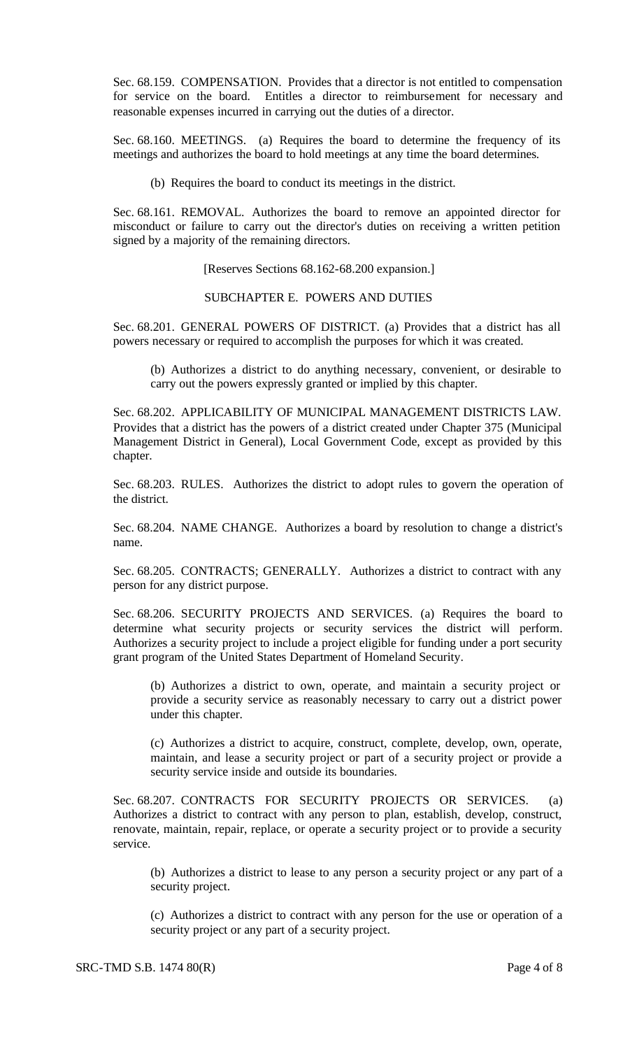Sec. 68.159. COMPENSATION. Provides that a director is not entitled to compensation for service on the board. Entitles a director to reimbursement for necessary and reasonable expenses incurred in carrying out the duties of a director.

Sec. 68.160. MEETINGS. (a) Requires the board to determine the frequency of its meetings and authorizes the board to hold meetings at any time the board determines.

(b) Requires the board to conduct its meetings in the district.

Sec. 68.161. REMOVAL. Authorizes the board to remove an appointed director for misconduct or failure to carry out the director's duties on receiving a written petition signed by a majority of the remaining directors.

[Reserves Sections 68.162-68.200 expansion.]

## SUBCHAPTER E. POWERS AND DUTIES

Sec. 68.201. GENERAL POWERS OF DISTRICT. (a) Provides that a district has all powers necessary or required to accomplish the purposes for which it was created.

(b) Authorizes a district to do anything necessary, convenient, or desirable to carry out the powers expressly granted or implied by this chapter.

Sec. 68.202. APPLICABILITY OF MUNICIPAL MANAGEMENT DISTRICTS LAW. Provides that a district has the powers of a district created under Chapter 375 (Municipal Management District in General), Local Government Code, except as provided by this chapter.

Sec. 68.203. RULES. Authorizes the district to adopt rules to govern the operation of the district.

Sec. 68.204. NAME CHANGE. Authorizes a board by resolution to change a district's name.

Sec. 68.205. CONTRACTS; GENERALLY. Authorizes a district to contract with any person for any district purpose.

Sec. 68.206. SECURITY PROJECTS AND SERVICES. (a) Requires the board to determine what security projects or security services the district will perform. Authorizes a security project to include a project eligible for funding under a port security grant program of the United States Department of Homeland Security.

(b) Authorizes a district to own, operate, and maintain a security project or provide a security service as reasonably necessary to carry out a district power under this chapter.

(c) Authorizes a district to acquire, construct, complete, develop, own, operate, maintain, and lease a security project or part of a security project or provide a security service inside and outside its boundaries.

Sec. 68.207. CONTRACTS FOR SECURITY PROJECTS OR SERVICES. (a) Authorizes a district to contract with any person to plan, establish, develop, construct, renovate, maintain, repair, replace, or operate a security project or to provide a security service.

(b) Authorizes a district to lease to any person a security project or any part of a security project.

(c) Authorizes a district to contract with any person for the use or operation of a security project or any part of a security project.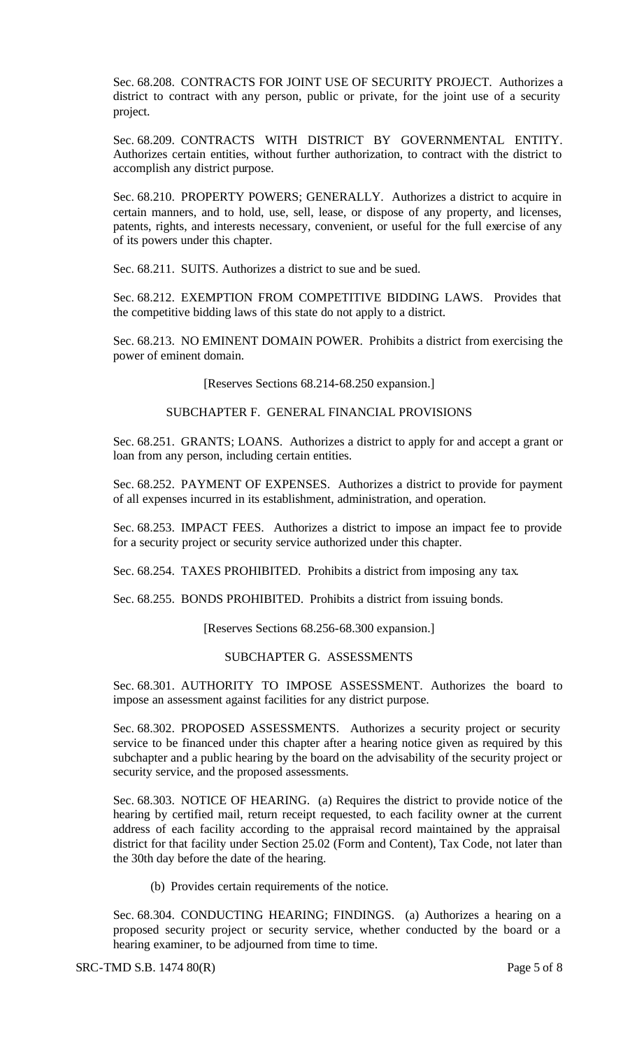Sec. 68.208. CONTRACTS FOR JOINT USE OF SECURITY PROJECT. Authorizes a district to contract with any person, public or private, for the joint use of a security project.

Sec. 68.209. CONTRACTS WITH DISTRICT BY GOVERNMENTAL ENTITY. Authorizes certain entities, without further authorization, to contract with the district to accomplish any district purpose.

Sec. 68.210. PROPERTY POWERS; GENERALLY. Authorizes a district to acquire in certain manners, and to hold, use, sell, lease, or dispose of any property, and licenses, patents, rights, and interests necessary, convenient, or useful for the full exercise of any of its powers under this chapter.

Sec. 68.211. SUITS. Authorizes a district to sue and be sued.

Sec. 68.212. EXEMPTION FROM COMPETITIVE BIDDING LAWS. Provides that the competitive bidding laws of this state do not apply to a district.

Sec. 68.213. NO EMINENT DOMAIN POWER. Prohibits a district from exercising the power of eminent domain.

[Reserves Sections 68.214-68.250 expansion.]

## SUBCHAPTER F. GENERAL FINANCIAL PROVISIONS

Sec. 68.251. GRANTS; LOANS. Authorizes a district to apply for and accept a grant or loan from any person, including certain entities.

Sec. 68.252. PAYMENT OF EXPENSES. Authorizes a district to provide for payment of all expenses incurred in its establishment, administration, and operation.

Sec. 68.253. IMPACT FEES. Authorizes a district to impose an impact fee to provide for a security project or security service authorized under this chapter.

Sec. 68.254. TAXES PROHIBITED. Prohibits a district from imposing any tax.

Sec. 68.255. BONDS PROHIBITED. Prohibits a district from issuing bonds.

[Reserves Sections 68.256-68.300 expansion.]

## SUBCHAPTER G. ASSESSMENTS

Sec. 68.301. AUTHORITY TO IMPOSE ASSESSMENT. Authorizes the board to impose an assessment against facilities for any district purpose.

Sec. 68.302. PROPOSED ASSESSMENTS. Authorizes a security project or security service to be financed under this chapter after a hearing notice given as required by this subchapter and a public hearing by the board on the advisability of the security project or security service, and the proposed assessments.

Sec. 68.303. NOTICE OF HEARING. (a) Requires the district to provide notice of the hearing by certified mail, return receipt requested, to each facility owner at the current address of each facility according to the appraisal record maintained by the appraisal district for that facility under Section 25.02 (Form and Content), Tax Code, not later than the 30th day before the date of the hearing.

(b) Provides certain requirements of the notice.

Sec. 68.304. CONDUCTING HEARING; FINDINGS. (a) Authorizes a hearing on a proposed security project or security service, whether conducted by the board or a hearing examiner, to be adjourned from time to time.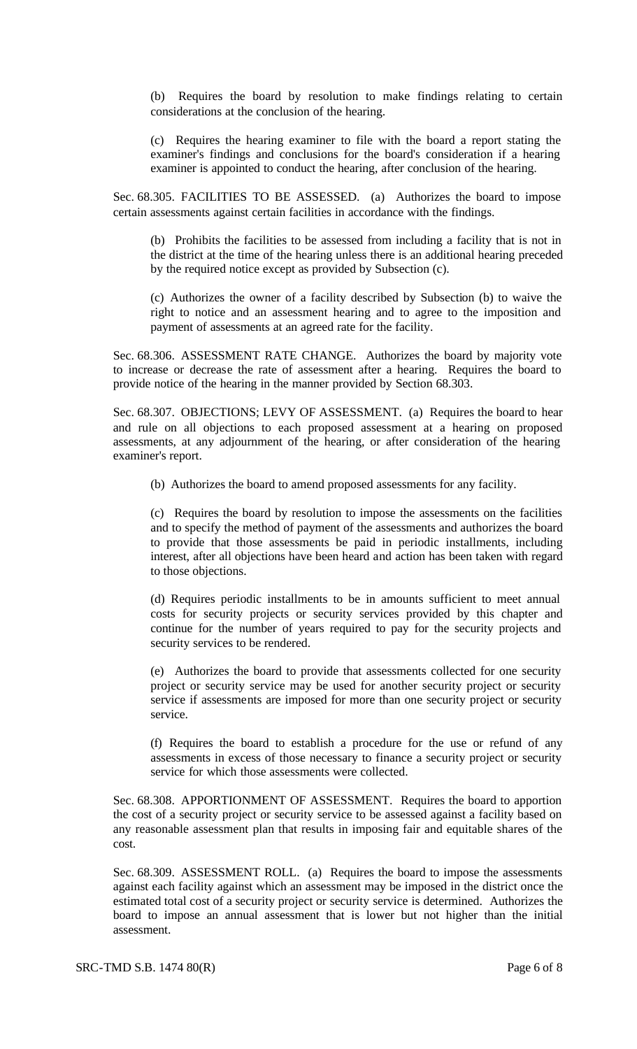(b) Requires the board by resolution to make findings relating to certain considerations at the conclusion of the hearing.

(c) Requires the hearing examiner to file with the board a report stating the examiner's findings and conclusions for the board's consideration if a hearing examiner is appointed to conduct the hearing, after conclusion of the hearing.

Sec. 68.305. FACILITIES TO BE ASSESSED. (a) Authorizes the board to impose certain assessments against certain facilities in accordance with the findings.

(b) Prohibits the facilities to be assessed from including a facility that is not in the district at the time of the hearing unless there is an additional hearing preceded by the required notice except as provided by Subsection (c).

(c) Authorizes the owner of a facility described by Subsection (b) to waive the right to notice and an assessment hearing and to agree to the imposition and payment of assessments at an agreed rate for the facility.

Sec. 68.306. ASSESSMENT RATE CHANGE. Authorizes the board by majority vote to increase or decrease the rate of assessment after a hearing. Requires the board to provide notice of the hearing in the manner provided by Section 68.303.

Sec. 68.307. OBJECTIONS; LEVY OF ASSESSMENT. (a) Requires the board to hear and rule on all objections to each proposed assessment at a hearing on proposed assessments, at any adjournment of the hearing, or after consideration of the hearing examiner's report.

(b) Authorizes the board to amend proposed assessments for any facility.

(c) Requires the board by resolution to impose the assessments on the facilities and to specify the method of payment of the assessments and authorizes the board to provide that those assessments be paid in periodic installments, including interest, after all objections have been heard and action has been taken with regard to those objections.

(d) Requires periodic installments to be in amounts sufficient to meet annual costs for security projects or security services provided by this chapter and continue for the number of years required to pay for the security projects and security services to be rendered.

(e) Authorizes the board to provide that assessments collected for one security project or security service may be used for another security project or security service if assessments are imposed for more than one security project or security service.

(f) Requires the board to establish a procedure for the use or refund of any assessments in excess of those necessary to finance a security project or security service for which those assessments were collected.

Sec. 68.308. APPORTIONMENT OF ASSESSMENT. Requires the board to apportion the cost of a security project or security service to be assessed against a facility based on any reasonable assessment plan that results in imposing fair and equitable shares of the cost.

Sec. 68.309. ASSESSMENT ROLL. (a) Requires the board to impose the assessments against each facility against which an assessment may be imposed in the district once the estimated total cost of a security project or security service is determined. Authorizes the board to impose an annual assessment that is lower but not higher than the initial assessment.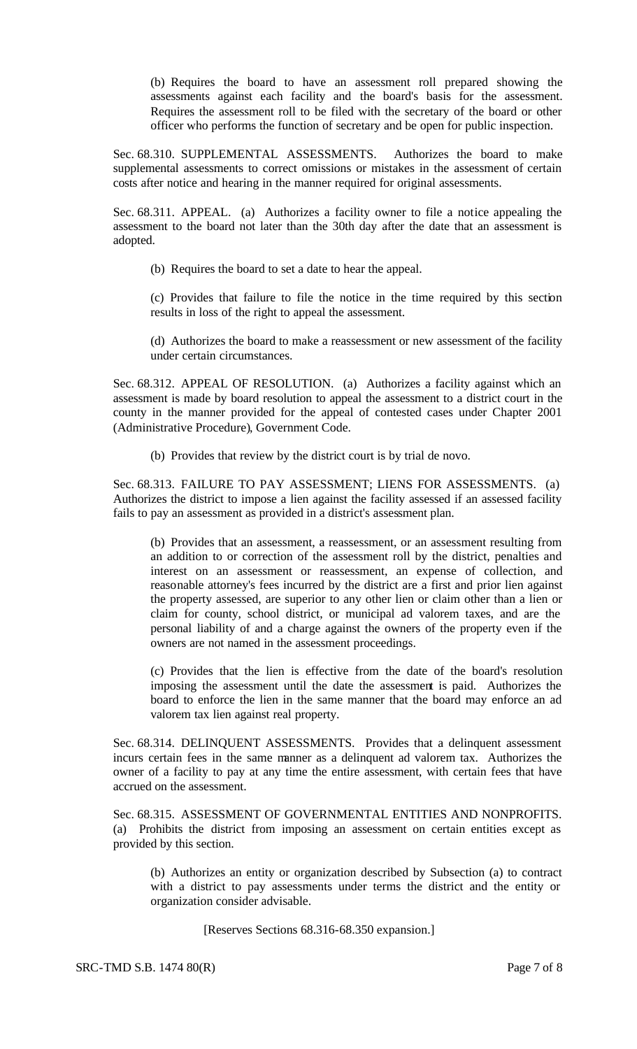(b) Requires the board to have an assessment roll prepared showing the assessments against each facility and the board's basis for the assessment. Requires the assessment roll to be filed with the secretary of the board or other officer who performs the function of secretary and be open for public inspection.

Sec. 68.310. SUPPLEMENTAL ASSESSMENTS. Authorizes the board to make supplemental assessments to correct omissions or mistakes in the assessment of certain costs after notice and hearing in the manner required for original assessments.

Sec. 68.311. APPEAL. (a) Authorizes a facility owner to file a notice appealing the assessment to the board not later than the 30th day after the date that an assessment is adopted.

(b) Requires the board to set a date to hear the appeal.

(c) Provides that failure to file the notice in the time required by this section results in loss of the right to appeal the assessment.

(d) Authorizes the board to make a reassessment or new assessment of the facility under certain circumstances.

Sec. 68.312. APPEAL OF RESOLUTION. (a) Authorizes a facility against which an assessment is made by board resolution to appeal the assessment to a district court in the county in the manner provided for the appeal of contested cases under Chapter 2001 (Administrative Procedure), Government Code.

(b) Provides that review by the district court is by trial de novo.

Sec. 68.313. FAILURE TO PAY ASSESSMENT; LIENS FOR ASSESSMENTS. (a) Authorizes the district to impose a lien against the facility assessed if an assessed facility fails to pay an assessment as provided in a district's assessment plan.

(b) Provides that an assessment, a reassessment, or an assessment resulting from an addition to or correction of the assessment roll by the district, penalties and interest on an assessment or reassessment, an expense of collection, and reasonable attorney's fees incurred by the district are a first and prior lien against the property assessed, are superior to any other lien or claim other than a lien or claim for county, school district, or municipal ad valorem taxes, and are the personal liability of and a charge against the owners of the property even if the owners are not named in the assessment proceedings.

(c) Provides that the lien is effective from the date of the board's resolution imposing the assessment until the date the assessment is paid. Authorizes the board to enforce the lien in the same manner that the board may enforce an ad valorem tax lien against real property.

Sec. 68.314. DELINQUENT ASSESSMENTS. Provides that a delinquent assessment incurs certain fees in the same manner as a delinquent ad valorem tax. Authorizes the owner of a facility to pay at any time the entire assessment, with certain fees that have accrued on the assessment.

Sec. 68.315. ASSESSMENT OF GOVERNMENTAL ENTITIES AND NONPROFITS. (a) Prohibits the district from imposing an assessment on certain entities except as provided by this section.

(b) Authorizes an entity or organization described by Subsection (a) to contract with a district to pay assessments under terms the district and the entity or organization consider advisable.

[Reserves Sections 68.316-68.350 expansion.]